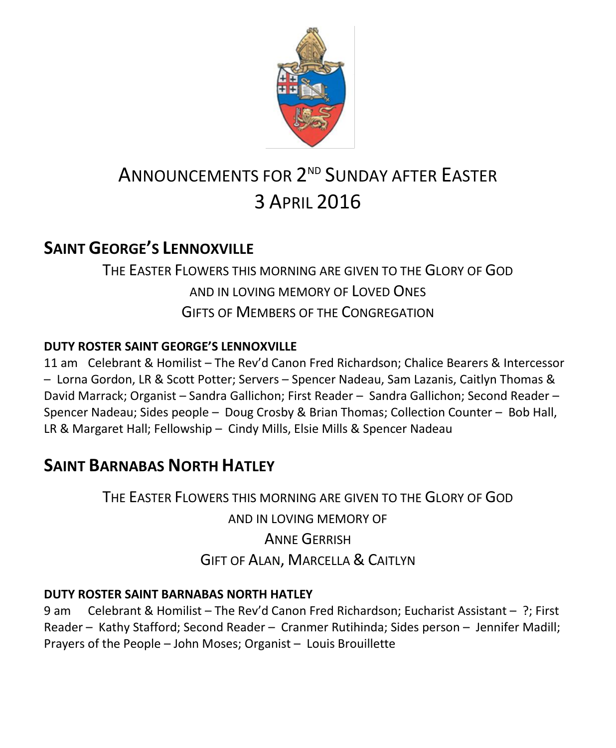

# ANNOUNCEMENTS FOR 2<sup>nd</sup> SUNDAY AFTER EASTER 3 APRIL 2016

# **SAINT GEORGE'S LENNOXVILLE**

THE EASTER FLOWERS THIS MORNING ARE GIVEN TO THE GLORY OF GOD AND IN LOVING MEMORY OF LOVED ONES GIFTS OF MEMBERS OF THE CONGREGATION

# **DUTY ROSTER SAINT GEORGE'S LENNOXVILLE**

11 am Celebrant & Homilist – The Rev'd Canon Fred Richardson; Chalice Bearers & Intercessor – Lorna Gordon, LR & Scott Potter; Servers – Spencer Nadeau, Sam Lazanis, Caitlyn Thomas & David Marrack; Organist – Sandra Gallichon; First Reader – Sandra Gallichon; Second Reader – Spencer Nadeau; Sides people – Doug Crosby & Brian Thomas; Collection Counter – Bob Hall, LR & Margaret Hall; Fellowship – Cindy Mills, Elsie Mills & Spencer Nadeau

# **SAINT BARNABAS NORTH HATLEY**

THE EASTER FLOWERS THIS MORNING ARE GIVEN TO THE GLORY OF GOD AND IN LOVING MEMORY OF ANNE GERRISH GIFT OF ALAN, MARCELLA & CAITLYN

# **DUTY ROSTER SAINT BARNABAS NORTH HATLEY**

9 am Celebrant & Homilist – The Rev'd Canon Fred Richardson; Eucharist Assistant – ?; First Reader – Kathy Stafford; Second Reader – Cranmer Rutihinda; Sides person – Jennifer Madill; Prayers of the People – John Moses; Organist – Louis Brouillette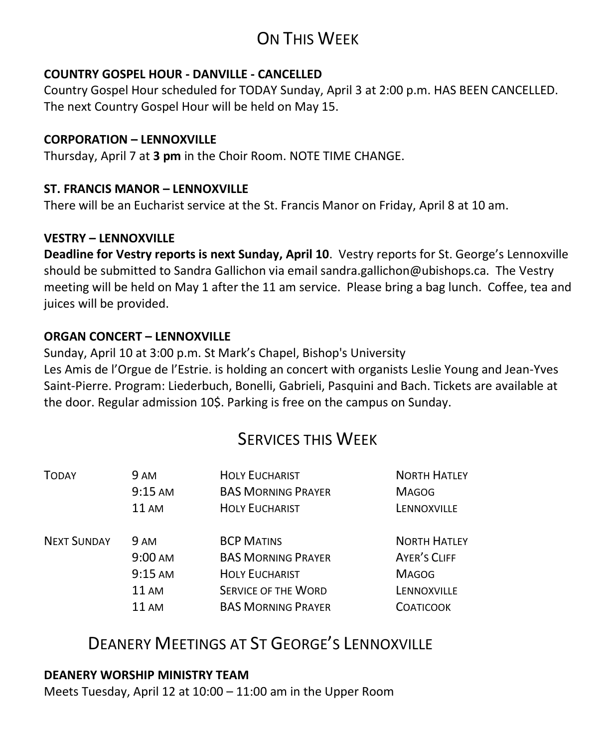# ON THIS WEEK

#### **COUNTRY GOSPEL HOUR - DANVILLE - CANCELLED**

Country Gospel Hour scheduled for TODAY Sunday, April 3 at 2:00 p.m. HAS BEEN CANCELLED. The next Country Gospel Hour will be held on May 15.

#### **CORPORATION – LENNOXVILLE**

Thursday, April 7 at **3 pm** in the Choir Room. NOTE TIME CHANGE.

#### **ST. FRANCIS MANOR – LENNOXVILLE**

There will be an Eucharist service at the St. Francis Manor on Friday, April 8 at 10 am.

#### **VESTRY – LENNOXVILLE**

**Deadline for Vestry reports is next Sunday, April 10**. Vestry reports for St. George's Lennoxville should be submitted to Sandra Gallichon via email sandra.gallichon@ubishops.ca. The Vestry meeting will be held on May 1 after the 11 am service. Please bring a bag lunch. Coffee, tea and juices will be provided.

#### **ORGAN CONCERT – LENNOXVILLE**

Sunday, April 10 at 3:00 p.m. St Mark's Chapel, Bishop's University Les Amis de l'Orgue de l'Estrie. is holding an concert with organists Leslie Young and Jean-Yves Saint-Pierre. Program: Liederbuch, Bonelli, Gabrieli, Pasquini and Bach. Tickets are available at the door. Regular admission 10\$. Parking is free on the campus on Sunday.

# SERVICES THIS WEEK

| 9 AM              | <b>HOLY EUCHARIST</b>      | <b>NORTH HATLEY</b> |
|-------------------|----------------------------|---------------------|
| 9:15 AM           | <b>BAS MORNING PRAYER</b>  | <b>MAGOG</b>        |
| <b>11 AM</b>      | <b>HOLY EUCHARIST</b>      | LENNOXVILLE         |
| <b>9 AM</b>       | <b>BCP MATINS</b>          | <b>NORTH HATLEY</b> |
| $9:00 \text{ AM}$ | <b>BAS MORNING PRAYER</b>  | AYER'S CLIFF        |
| $9:15 \text{ AM}$ | <b>HOLY EUCHARIST</b>      | <b>MAGOG</b>        |
| 11 AM             | <b>SERVICE OF THE WORD</b> | LENNOXVILLE         |
| 11 AM             | <b>BAS MORNING PRAYER</b>  | <b>COATICOOK</b>    |
|                   |                            |                     |

# DEANERY MEETINGS AT ST GEORGE'S LENNOXVILLE

#### **DEANERY WORSHIP MINISTRY TEAM**

Meets Tuesday, April 12 at 10:00 – 11:00 am in the Upper Room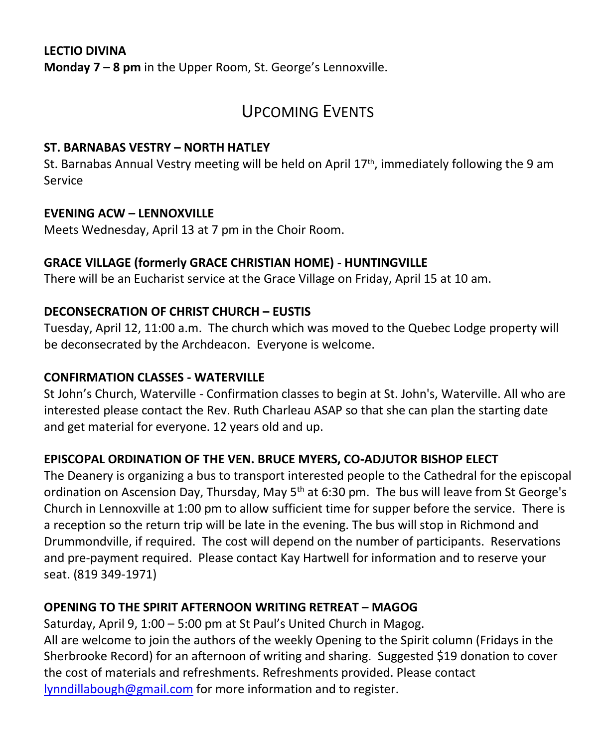### **LECTIO DIVINA Monday 7 – 8 pm** in the Upper Room, St. George's Lennoxville.

# UPCOMING EVENTS

### **ST. BARNABAS VESTRY – NORTH HATLEY**

St. Barnabas Annual Vestry meeting will be held on April  $17<sup>th</sup>$ , immediately following the 9 am Service

#### **EVENING ACW – LENNOXVILLE**

Meets Wednesday, April 13 at 7 pm in the Choir Room.

### **GRACE VILLAGE (formerly GRACE CHRISTIAN HOME) - HUNTINGVILLE**

There will be an Eucharist service at the Grace Village on Friday, April 15 at 10 am.

### **DECONSECRATION OF CHRIST CHURCH – EUSTIS**

Tuesday, April 12, 11:00 a.m. The church which was moved to the Quebec Lodge property will be deconsecrated by the Archdeacon. Everyone is welcome.

### **CONFIRMATION CLASSES - WATERVILLE**

St John's Church, Waterville - Confirmation classes to begin at St. John's, Waterville. All who are interested please contact the Rev. Ruth Charleau ASAP so that she can plan the starting date and get material for everyone. 12 years old and up.

### **EPISCOPAL ORDINATION OF THE VEN. BRUCE MYERS, CO-ADJUTOR BISHOP ELECT**

The Deanery is organizing a bus to transport interested people to the Cathedral for the episcopal ordination on Ascension Day, Thursday, May  $5<sup>th</sup>$  at 6:30 pm. The bus will leave from St George's Church in Lennoxville at 1:00 pm to allow sufficient time for supper before the service. There is a reception so the return trip will be late in the evening. The bus will stop in Richmond and Drummondville, if required. The cost will depend on the number of participants. Reservations and pre-payment required. Please contact Kay Hartwell for information and to reserve your seat. (819 349-1971)

### **OPENING TO THE SPIRIT AFTERNOON WRITING RETREAT – MAGOG**

Saturday, April 9, 1:00 – 5:00 pm at St Paul's United Church in Magog. All are welcome to join the authors of the weekly Opening to the Spirit column (Fridays in the Sherbrooke Record) for an afternoon of writing and sharing. Suggested \$19 donation to cover the cost of materials and refreshments. Refreshments provided. Please contact [lynndillabough@gmail.com](https://webmail.ubishops.ca/owa/redir.aspx?REF=jewW9riufbiU8eBAPsywa4hG6NEdgHBSnofS9vp4a0bilD0o3lTTCAFodHRwczovL3dlYm1haWwudWJpc2hvcHMuY2Evb3dhL3JlZGlyLmFzcHg_U1VSTD0wVERVdG1oeE5CUi16Ri0tTS1VUzlSa21JTDdfcGMyblFWLUFHc3BlZ2FmVm5yTDR6azNUQ0cwQVlRQnBBR3dBZEFCdkFEb0FiQUI1QUc0QWJnQmtBR2tBYkFCc0FHRUFZZ0J2QUhVQVp3Qm9BRUFBWndCdEFHRUFhUUJzQUM0QVl3QnZBRzBBJlVSTD1tYWlsdG8lM2FseW5uZGlsbGFib3VnaCU0MGdtYWlsLmNvbQ..) for more information and to register.